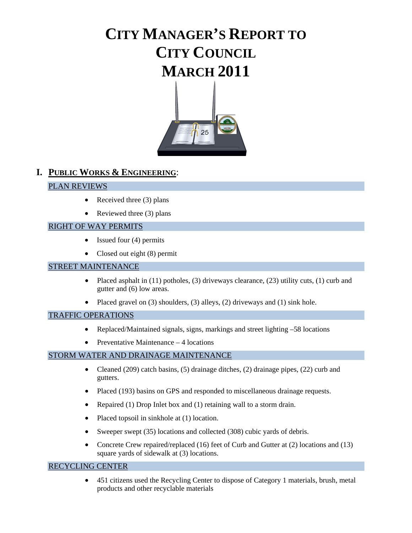# **CITY MANAGER'S REPORT TO CITY COUNCIL MARCH 2011**



# **I. PUBLIC WORKS & ENGINEERING**:

#### PLAN REVIEWS

- Received three  $(3)$  plans
- Reviewed three  $(3)$  plans

#### RIGHT OF WAY PERMITS

- Issued four (4) permits
- Closed out eight (8) permit

#### STREET MAINTENANCE

- Placed asphalt in  $(11)$  potholes,  $(3)$  driveways clearance,  $(23)$  utility cuts,  $(1)$  curb and gutter and (6) low areas.
- Placed gravel on (3) shoulders, (3) alleys, (2) driveways and (1) sink hole.

#### TRAFFIC OPERATIONS

- Replaced/Maintained signals, signs, markings and street lighting –58 locations
- Preventative Maintenance 4 locations

#### STORM WATER AND DRAINAGE MAINTENANCE

- Cleaned (209) catch basins, (5) drainage ditches, (2) drainage pipes, (22) curb and gutters.
- Placed (193) basins on GPS and responded to miscellaneous drainage requests.
- Repaired (1) Drop Inlet box and (1) retaining wall to a storm drain.
- Placed topsoil in sinkhole at (1) location.
- Sweeper swept (35) locations and collected (308) cubic yards of debris.
- Concrete Crew repaired/replaced (16) feet of Curb and Gutter at (2) locations and (13) square yards of sidewalk at (3) locations.

#### RECYCLING CENTER

• 451 citizens used the Recycling Center to dispose of Category 1 materials, brush, metal products and other recyclable materials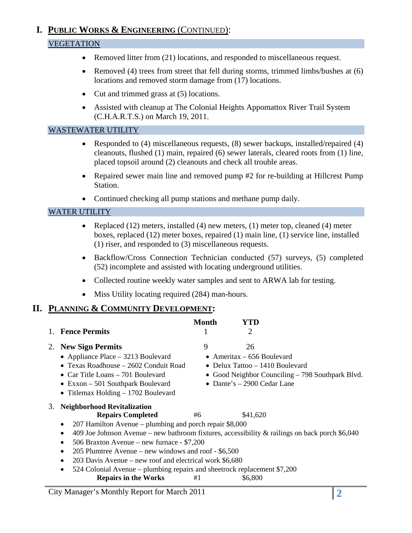# **I. PUBLIC WORKS & ENGINEERING** (CONTINUED):

# VEGETATION

- Removed litter from (21) locations, and responded to miscellaneous request.
- Removed (4) trees from street that fell during storms, trimmed limbs/bushes at (6) locations and removed storm damage from (17) locations.
- Cut and trimmed grass at (5) locations.
- Assisted with cleanup at The Colonial Heights Appomattox River Trail System (C.H.A.R.T.S.) on March 19, 2011.

#### WASTEWATER UTILITY

- Responded to (4) miscellaneous requests, (8) sewer backups, installed/repaired (4) cleanouts, flushed (1) main, repaired (6) sewer laterals, cleared roots from (1) line, placed topsoil around (2) cleanouts and check all trouble areas.
- Repaired sewer main line and removed pump #2 for re-building at Hillcrest Pump Station.
- Continued checking all pump stations and methane pump daily.

#### WATER UTILITY

- Replaced (12) meters, installed (4) new meters, (1) meter top, cleaned (4) meter boxes, replaced (12) meter boxes, repaired (1) main line, (1) service line, installed (1) riser, and responded to (3) miscellaneous requests.
- Backflow/Cross Connection Technician conducted (57) surveys, (5) completed (52) incomplete and assisted with locating underground utilities.
- Collected routine weekly water samples and sent to ARWA lab for testing.
- Miss Utility locating required (284) man-hours.

# **II. PLANNING & COMMUNITY DEVELOPMENT:**

|    | <b>Fence Permits</b>                                                                                                                                                                                                                                                                                                                                                                                                                                                                                                                                          | Month    | 2                                                                                                     |                                                  |
|----|---------------------------------------------------------------------------------------------------------------------------------------------------------------------------------------------------------------------------------------------------------------------------------------------------------------------------------------------------------------------------------------------------------------------------------------------------------------------------------------------------------------------------------------------------------------|----------|-------------------------------------------------------------------------------------------------------|--------------------------------------------------|
|    | 2. New Sign Permits<br>• Appliance Place $-3213$ Boulevard<br>• Texas Roadhouse – 2602 Conduit Road<br>• Car Title Loans $-701$ Boulevard<br>$\bullet$ Exxon – 501 Southpark Boulevard<br>• Titlemax Holding $-1702$ Boulevard                                                                                                                                                                                                                                                                                                                                | 9        | 26<br>• Ameritax $-656$ Boulevard<br>• Delux Tattoo $-1410$ Boulevard<br>• Dante's $-2900$ Cedar Lane | • Good Neighbor Counciling - 798 Southpark Blvd. |
| 3. | <b>Neighborhood Revitalization</b><br><b>Repairs Completed</b><br>207 Hamilton Avenue – plumbing and porch repair \$8,000<br>409 Joe Johnson Avenue – new bathroom fixtures, accessibility & railings on back porch $$6,040$<br>$\bullet$<br>506 Braxton Avenue – new furnace - \$7,200<br>$\bullet$<br>205 Plumtree Avenue – new windows and roof - $$6,500$<br>$\bullet$<br>203 Davis Avenue – new roof and electrical work \$6,680<br>$\bullet$<br>524 Colonial Avenue – plumbing repairs and sheetrock replacement \$7,200<br><b>Repairs in the Works</b> | #6<br>#1 | \$41,620<br>\$6,800                                                                                   |                                                  |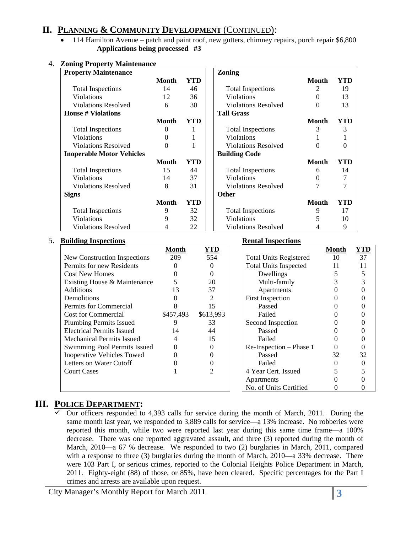# **II. PLANNING & COMMUNITY DEVELOPMENT** (CONTINUED):

• 114 Hamilton Avenue – patch and paint roof, new gutters, chimney repairs, porch repair \$6,800 **Applications being processed #3** 

| <b>Property Maintenance</b>      |              |     | Zoning                     |              |     |
|----------------------------------|--------------|-----|----------------------------|--------------|-----|
|                                  | <b>Month</b> | YTD |                            | <b>Month</b> | YTD |
| <b>Total Inspections</b>         | 14           | 46  | <b>Total Inspections</b>   | 2            | 19  |
| Violations                       | 12           | 36  | <b>Violations</b>          |              | 13  |
| <b>Violations Resolved</b>       | 6            | 30  | <b>Violations Resolved</b> | 0            | 13  |
| <b>House # Violations</b>        |              |     | <b>Tall Grass</b>          |              |     |
|                                  | Month        | YTD |                            | <b>Month</b> | YTD |
| <b>Total Inspections</b>         | 0            | 1   | <b>Total Inspections</b>   | 3            | 3   |
| Violations                       | 0            |     | Violations                 |              |     |
| <b>Violations Resolved</b>       | 0            |     | <b>Violations Resolved</b> | 0            | 0   |
| <b>Inoperable Motor Vehicles</b> |              |     | <b>Building Code</b>       |              |     |
|                                  | <b>Month</b> | YTD |                            | <b>Month</b> | YTD |
| <b>Total Inspections</b>         | 15           | 44  | <b>Total Inspections</b>   | 6            | 14  |
| <b>Violations</b>                | 14           | 37  | <b>Violations</b>          | 0            | 7   |
| <b>Violations Resolved</b>       | 8            | 31  | <b>Violations Resolved</b> | 7            |     |
| <b>Signs</b>                     |              |     | <b>Other</b>               |              |     |
|                                  | Month        | YTD |                            | <b>Month</b> | YTD |
| <b>Total Inspections</b>         | 9            | 32  | <b>Total Inspections</b>   | 9            | 17  |
| Violations                       | 9            | 32  | Violations                 |              | 10  |
| <b>Violations Resolved</b>       |              | 22  | <b>Violations Resolved</b> |              | 9   |

#### 4. **Zoning Property Maintenance**

#### 5. **Building Inspections Rental Inspections**

| DUNUME MODECUONS                  |           |            | incikai mispecuviis           |       |     |
|-----------------------------------|-----------|------------|-------------------------------|-------|-----|
|                                   | Month     | <u>YTD</u> |                               | Month | YTD |
| New Construction Inspections      | 209       | 554        | <b>Total Units Registered</b> | 10    | 37  |
| Permits for new Residents         |           |            | <b>Total Units Inspected</b>  | 11    |     |
| <b>Cost New Homes</b>             |           |            | Dwellings                     |       |     |
| Existing House & Maintenance      |           | 20         | Multi-family                  |       |     |
| <b>Additions</b>                  | 13        | 37         | Apartments                    |       |     |
| Demolitions                       |           | 2          | <b>First Inspection</b>       |       |     |
| Permits for Commercial            |           | 15         | Passed                        |       |     |
| <b>Cost for Commercial</b>        | \$457,493 | \$613,993  | Failed                        |       |     |
| <b>Plumbing Permits Issued</b>    |           | 33         | Second Inspection             |       |     |
| <b>Electrical Permits Issued</b>  | 14        | 44         | Passed                        |       |     |
| Mechanical Permits Issued         |           | 15         | Failed                        |       |     |
| Swimming Pool Permits Issued      |           |            | Re-Inspection – Phase 1       |       |     |
| <b>Inoperative Vehicles Towed</b> |           |            | Passed                        | 32    | 32  |
| Letters on Water Cutoff           |           |            | Failed                        |       |     |
| <b>Court Cases</b>                |           | 2          | 4 Year Cert. Issued           |       |     |
|                                   |           |            | Apartments                    |       |     |
|                                   |           |            | No. of Units Certified        |       |     |

#### **III. POLICE DEPARTMENT:**

9 Our officers responded to 4,393 calls for service during the month of March, 2011. During the same month last year, we responded to 3,889 calls for service—a 13% increase. No robberies were reported this month, while two were reported last year during this same time frame—a 100% decrease. There was one reported aggravated assault, and three (3) reported during the month of March, 2010—a 67 % decrease. We responded to two (2) burglaries in March, 2011, compared with a response to three (3) burglaries during the month of March, 2010—a 33% decrease. There were 103 Part I, or serious crimes, reported to the Colonial Heights Police Department in March, 2011. Eighty-eight (88) of those, or 85%, have been cleared. Specific percentages for the Part I crimes and arrests are available upon request.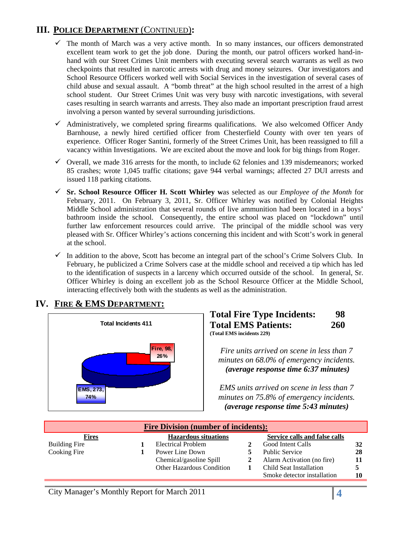# **III. POLICE DEPARTMENT** (CONTINUED)**:**

- $\checkmark$  The month of March was a very active month. In so many instances, our officers demonstrated excellent team work to get the job done. During the month, our patrol officers worked hand-inhand with our Street Crimes Unit members with executing several search warrants as well as two checkpoints that resulted in narcotic arrests with drug and money seizures. Our investigators and School Resource Officers worked well with Social Services in the investigation of several cases of child abuse and sexual assault. A "bomb threat" at the high school resulted in the arrest of a high school student. Our Street Crimes Unit was very busy with narcotic investigations, with several cases resulting in search warrants and arrests. They also made an important prescription fraud arrest involving a person wanted by several surrounding jurisdictions.
- $\checkmark$  Administratively, we completed spring firearms qualifications. We also welcomed Officer Andy Barnhouse, a newly hired certified officer from Chesterfield County with over ten years of experience. Officer Roger Santini, formerly of the Street Crimes Unit, has been reassigned to fill a vacancy within Investigations. We are excited about the move and look for big things from Roger.
- $\checkmark$  Overall, we made 316 arrests for the month, to include 62 felonies and 139 misdemeanors; worked 85 crashes; wrote 1,045 traffic citations; gave 944 verbal warnings; affected 27 DUI arrests and issued 118 parking citations.
- 9 **Sr. School Resource Officer H. Scott Whirley w**as selected as our *Employee of the Month* for February, 2011. On February 3, 2011, Sr. Officer Whirley was notified by Colonial Heights Middle School administration that several rounds of live ammunition had been located in a boys' bathroom inside the school. Consequently, the entire school was placed on "lockdown" until further law enforcement resources could arrive. The principal of the middle school was very pleased with Sr. Officer Whirley's actions concerning this incident and with Scott's work in general at the school.
- $\checkmark$  In addition to the above, Scott has become an integral part of the school's Crime Solvers Club. In February, he publicized a Crime Solvers case at the middle school and received a tip which has led to the identification of suspects in a larceny which occurred outside of the school. In general, Sr. Officer Whirley is doing an excellent job as the School Resource Officer at the Middle School, interacting effectively both with the students as well as the administration.



# **IV. FIRE & EMS DEPARTMENT:**

#### **Total Fire Type Incidents: 98 Total EMS Patients: 260 (Total EMS incidents 229)**

*Fire units arrived on scene in less than 7 minutes on 68.0% of emergency incidents.*  <sup>U</sup>*(average response time 6:37 minutes)*

*EMS units arrived on scene in less than 7 minutes on 75.8% of emergency incidents.*  <sup>U</sup>*(average response time 5:43 minutes)* 

| <b>Fire Division (number of incidents):</b> |  |                             |  |                               |    |  |  |
|---------------------------------------------|--|-----------------------------|--|-------------------------------|----|--|--|
| <b>Fires</b>                                |  | <b>Hazardous situations</b> |  | Service calls and false calls |    |  |  |
| <b>Building Fire</b>                        |  | <b>Electrical Problem</b>   |  | Good Intent Calls             | 32 |  |  |
| Cooking Fire                                |  | Power Line Down             |  | <b>Public Service</b>         | 28 |  |  |
|                                             |  | Chemical/gasoline Spill     |  | Alarm Activation (no fire)    |    |  |  |
|                                             |  | Other Hazardous Condition   |  | Child Seat Installation       |    |  |  |
|                                             |  |                             |  | Smoke detector installation   | 10 |  |  |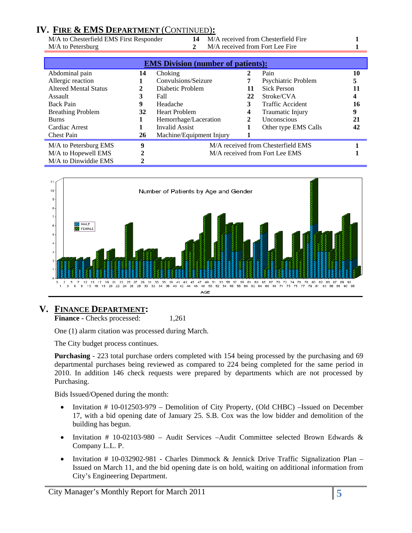# **IV. FIRE & EMS DEPARTMENT** (CONTINUED)**:**

M/A to Petersburg **2** M/A received from Fort Lee Fire **1** 

M/A to Chesterfield EMS First Responder **14** M/A received from Chesterfield Fire **1** 

|                              |    | <b>EMS Division (number of patients):</b> |                                    |                                |    |  |
|------------------------------|----|-------------------------------------------|------------------------------------|--------------------------------|----|--|
| Abdominal pain               | 14 | Choking                                   | 2                                  | Pain                           | 10 |  |
| Allergic reaction            |    | Convulsions/Seizure                       | 7                                  | Psychiatric Problem            |    |  |
| <b>Altered Mental Status</b> | 2  | Diabetic Problem                          | 11                                 | <b>Sick Person</b>             | 11 |  |
| Assault                      | 3  | Fall                                      | 22                                 | Stroke/CVA                     | 4  |  |
| <b>Back Pain</b>             | 9  | Headache                                  | 3                                  | <b>Traffic Accident</b>        | 16 |  |
| <b>Breathing Problem</b>     | 32 | <b>Heart Problem</b>                      | 4                                  | Traumatic Injury               | 9  |  |
| <b>Burns</b>                 | 1  | Hemorrhage/Laceration                     | 2                                  | <b>Unconscious</b>             | 21 |  |
| Cardiac Arrest               |    | Invalid Assist                            |                                    | Other type EMS Calls           | 42 |  |
| <b>Chest Pain</b>            | 26 | Machine/Equipment Injury                  |                                    |                                |    |  |
| M/A to Petersburg EMS        | 9  |                                           | M/A received from Chesterfield EMS |                                |    |  |
| M/A to Hopewell EMS          | 2  |                                           |                                    | M/A received from Fort Lee EMS |    |  |
| M/A to Dinwiddie EMS         |    |                                           |                                    |                                |    |  |



# **V. FINANCE DEPARTMENT:**

**Finance - Checks processed:** 1,261

One (1) alarm citation was processed during March.

The City budget process continues.

**Purchasing** - 223 total purchase orders completed with 154 being processed by the purchasing and 69 departmental purchases being reviewed as compared to 224 being completed for the same period in 2010. In addition 146 check requests were prepared by departments which are not processed by Purchasing.

Bids Issued/Opened during the month:

- Invitation # 10-012503-979 Demolition of City Property, (Old CHBC) –Issued on December 17, with a bid opening date of January 25. S.B. Cox was the low bidder and demolition of the building has begun.
- Invitation # 10-02103-980 Audit Services –Audit Committee selected Brown Edwards & Company L.L. P.
- Invitation # 10-032902-981 Charles Dimmock & Jennick Drive Traffic Signalization Plan Issued on March 11, and the bid opening date is on hold, waiting on additional information from City's Engineering Department.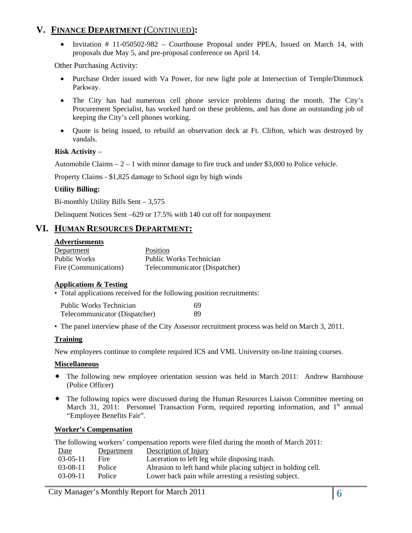# **V. FINANCE DEPARTMENT** (CONTINUED)**:**

• Invitation # 11-050502-982 – Courthouse Proposal under PPEA, Issued on March 14, with proposals due May 5, and pre-proposal conference on April 14.

Other Purchasing Activity:

- Purchase Order issued with Va Power, for new light pole at Intersection of Temple/Dimmock Parkway.
- The City has had numerous cell phone service problems during the month. The City's Procurement Specialist, has worked hard on these problems, and has done an outstanding job of keeping the City's cell phones working.
- Quote is being issued, to rebuild an observation deck at Ft. Clifton, which was destroyed by vandals.

#### **Risk Activity** –

Automobile Claims  $-2 - 1$  with minor damage to fire truck and under \$3,000 to Police vehicle.

Property Claims - \$1,825 damage to School sign by high winds

#### **Utility Billing:**

Bi-monthly Utility Bills Sent – 3,575

Delinquent Notices Sent –629 or 17.5% with 140 cut off for nonpayment

# **VI. HUMAN RESOURCES DEPARTMENT:**

#### **Advertisements**

| Department            | Position                      |
|-----------------------|-------------------------------|
| Public Works          | Public Works Technician       |
| Fire (Communications) | Telecommunicator (Dispatcher) |

#### **Applications & Testing**

• Total applications received for the following position recruitments:

| <b>Public Works Technician</b> | 69 |
|--------------------------------|----|
| Telecommunicator (Dispatcher)  | 89 |

• The panel interview phase of the City Assessor recruitment process was held on March 3, 2011.

#### **Training**

New employees continue to complete required ICS and VML University on-line training courses.

#### **Miscellaneous**

- The following new employee orientation session was held in March 2011: Andrew Barnhouse (Police Officer)
- The following topics were discussed during the Human Resources Liaison Committee meeting on March 31, 2011: Personnel Transaction Form, required reporting information, and 1<sup>st</sup> annual "Employee Benefits Fair".

#### **Worker's Compensation**

|      |            | The following workers' compensation reports were filed during the month of March 2011: |
|------|------------|----------------------------------------------------------------------------------------|
| Date | Department | Description of Injury                                                                  |

| $03-05-11$ | Fire          | Laceration to left leg while disposing trash.                |
|------------|---------------|--------------------------------------------------------------|
| 03-08-11   | <b>Police</b> | Abrasion to left hand while placing subject in holding cell. |
| $03-09-11$ | Police        | Lower back pain while arresting a resisting subject.         |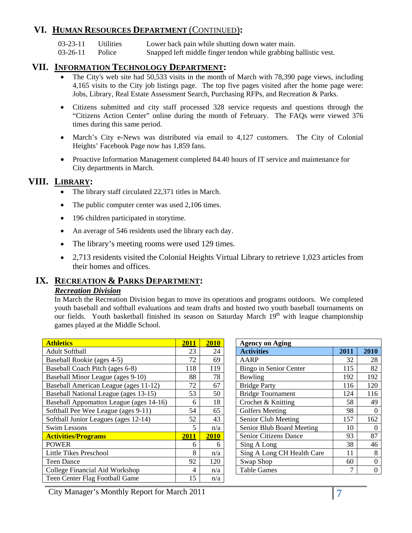# **VI. HUMAN RESOURCES DEPARTMENT** (CONTINUED)**:**

03-23-11 Utilities Lower back pain while shutting down water main.

03-26-11 Police Snapped left middle finger tendon while grabbing ballistic vest.

#### **VII. INFORMATION TECHNOLOGY DEPARTMENT:**

- The City's web site had 50,533 visits in the month of March with 78,390 page views, including 4,165 visits to the City job listings page. The top five pages visited after the home page were: Jobs, Library, Real Estate Assessment Search, Purchasing RFPs, and Recreation & Parks.
- Citizens submitted and city staff processed 328 service requests and questions through the "Citizens Action Center" online during the month of February. The FAQs were viewed 376 times during this same period.
- March's City e-News was distributed via email to 4,127 customers. The City of Colonial Heights' Facebook Page now has 1,859 fans.
- Proactive Information Management completed 84.40 hours of IT service and maintenance for City departments in March.

# **VIII. LIBRARY:**

- The library staff circulated 22,371 titles in March.
- The public computer center was used 2,106 times.
- 196 children participated in storytime.
- An average of 546 residents used the library each day.
- The library's meeting rooms were used 129 times.
- 2,713 residents visited the Colonial Heights Virtual Library to retrieve 1,023 articles from their homes and offices.

# **IX. RECREATION & PARKS DEPARTMENT:**

#### *Recreation Division*

In March the Recreation Division began to move its operations and programs outdoors. We completed youth baseball and softball evaluations and team drafts and hosted two youth baseball tournaments on our fields. Youth basketball finished its season on Saturday March  $19<sup>th</sup>$  with league championship games played at the Middle School.

| <b>Athletics</b>                        | 2011           | 2010 | <b>Agency on Aging</b>       |      |                  |
|-----------------------------------------|----------------|------|------------------------------|------|------------------|
| <b>Adult Softball</b>                   | 23             | 24   | <b>Activities</b>            | 2011 | 2010             |
| Baseball Rookie (ages 4-5)              | 72             | 69   | <b>AARP</b>                  | 32   | 28               |
| Baseball Coach Pitch (ages 6-8)         | 118            | 119  | Bingo in Senior Center       | 115  | 82               |
| Baseball Minor League (ages 9-10)       | 88             | 78   | Bowling                      | 192  | 192              |
| Baseball American League (ages 11-12)   | 72             | 67   | <b>Bridge Party</b>          | 116  | 120              |
| Baseball National League (ages 13-15)   | 53             | 50   | <b>Bridge Tournament</b>     | 124  | 116              |
| Baseball Appomattox League (ages 14-16) | 6              | 18   | Crochet & Knitting           | 58   | 49               |
| Softball Pee Wee League (ages 9-11)     | 54             | 65   | <b>Golfers Meeting</b>       | 98   | $\boldsymbol{0}$ |
| Softball Junior Leagues (ages 12-14)    | 52             | 43   | Senior Club Meeting          | 157  | 162              |
| <b>Swim Lessons</b>                     | 5              | n/a  | Senior Blub Board Meeting    | 10   | $\theta$         |
| <b>Activities/Programs</b>              | 2011           | 2010 | <b>Senior Citizens Dance</b> | 93   | 87               |
| <b>POWER</b>                            | 6              | 6    | Sing A Long                  | 38   | 46               |
| Little Tikes Preschool                  | 8              | n/a  | Sing A Long CH Health Care   | 11   | 8                |
| <b>Teen Dance</b>                       | 92             | 120  | Swap Shop                    | 60   | $\Omega$         |
| College Financial Aid Workshop          | $\overline{4}$ | n/a  | <b>Table Games</b>           | 7    | $\Omega$         |
| Teen Center Flag Football Game          | 15             | n/a  |                              |      |                  |

| <b>Agency on Aging</b>       |      |      |
|------------------------------|------|------|
| <b>Activities</b>            | 2011 | 2010 |
| AARP                         | 32   | 28   |
| Bingo in Senior Center       | 115  | 82   |
| Bowling                      | 192  | 192  |
| <b>Bridge Party</b>          | 116  | 120  |
| <b>Bridge Tournament</b>     | 124  | 116  |
| Crochet & Knitting           | 58   | 49   |
| <b>Golfers Meeting</b>       | 98   |      |
| Senior Club Meeting          | 157  | 162  |
| Senior Blub Board Meeting    | 10   |      |
| <b>Senior Citizens Dance</b> | 93   | 87   |
| Sing A Long                  | 38   | 46   |
| Sing A Long CH Health Care   | 11   | 8    |
| Swap Shop                    | 60   |      |
| <b>Table Games</b>           |      |      |

City Manager's Monthly Report for March 2011 **7**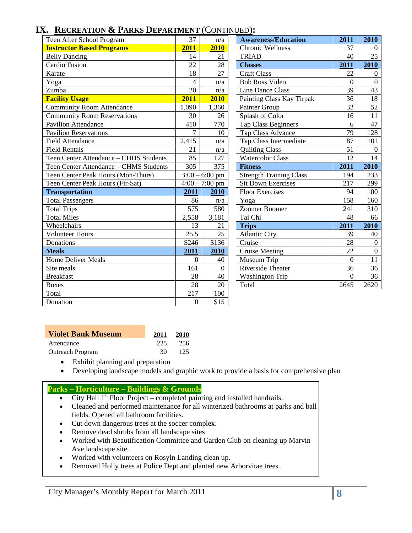# **IX. RECREATION & PARKS DEPARTMENT** (CONTINUED)**:**

| <b>RECKEATION &amp; LAKKS DELANTMENT (CONTINUED).</b> |                  |                  |                                |              |                 |
|-------------------------------------------------------|------------------|------------------|--------------------------------|--------------|-----------------|
| Teen After School Program                             | 37               | n/a              | <b>Awareness/Education</b>     | 2011         | 2010            |
| <b>Instructor Based Programs</b>                      | 2011             | 2010             | <b>Chronic Wellness</b>        | 37           | $\overline{0}$  |
| <b>Belly Dancing</b>                                  | 14               | 21               | <b>TRIAD</b>                   | 40           | 25              |
| <b>Cardio Fusion</b>                                  | 22               | 28               | <b>Classes</b>                 | 2011         | 2010            |
| Karate                                                | 18               | 27               | <b>Craft Class</b>             | 22           | $\theta$        |
| Yoga                                                  | $\overline{4}$   | n/a              | <b>Bob Ross Video</b>          | $\Omega$     | $\mathbf{0}$    |
| Zumba                                                 | 20               | n/a              | Line Dance Class               | 39           | 43              |
| <b>Facility Usage</b>                                 | 2011             | 2010             | Painting Class Kay Tirpak      | 36           | 18              |
| <b>Community Room Attendance</b>                      | 1,090            | 1,360            | Painter Group                  | 32           | $\overline{52}$ |
| <b>Community Room Reservations</b>                    | 30               | 26               | Splash of Color                | 16           | 11              |
| <b>Pavilion Attendance</b>                            | 410              | 770              | <b>Tap Class Beginners</b>     | 6            | 47              |
| <b>Pavilion Reservations</b>                          | $\overline{7}$   | 10               | <b>Tap Class Advance</b>       | 79           | 128             |
| <b>Field Attendance</b>                               | 2,415            | n/a              | Tap Class Intermediate         | 87           | 101             |
| <b>Field Rentals</b>                                  | 21               | n/a              | <b>Quilting Class</b>          | 51           | $\overline{0}$  |
| Teen Center Attendance - CHHS Students                | 85               | 127              | <b>Watercolor Class</b>        | 12           | 14              |
| Teen Center Attendance - CHMS Students                | 305              | 375              | <b>Fitness</b>                 | 2011         | 2010            |
| Teen Center Peak Hours (Mon-Thurs)                    |                  | $3:00 - 6:00$ pm | <b>Strength Training Class</b> | 194          | 233             |
| Teen Center Peak Hours (Fir-Sat)                      |                  | $4:00 - 7:00$ pm | <b>Sit Down Exercises</b>      | 217          | 299             |
| <b>Transportation</b>                                 | 2011             | 2010             | <b>Floor Exercises</b>         | 94           | 100             |
| <b>Total Passengers</b>                               | 86               | n/a              | Yoga                           | 158          | 160             |
| <b>Total Trips</b>                                    | 575              | 580              | Zoomer Boomer                  | 241          | 310             |
| <b>Total Miles</b>                                    | 2,558            | 3,181            | Tai Chi                        | 48           | 66              |
| Wheelchairs                                           | 13               | 21               | <b>Trips</b>                   | 2011         | 2010            |
| <b>Volunteer Hours</b>                                | 25.5             | 25               | <b>Atlantic City</b>           | 39           | 40              |
| Donations                                             | \$246            | \$136            | Cruise                         | 28           | $\mathbf{0}$    |
| <b>Meals</b>                                          | 2011             | 2010             | <b>Cruise Meeting</b>          | 22           | $\mathbf{0}$    |
| <b>Home Deliver Meals</b>                             | $\Omega$         | 40               | Museum Trip                    | $\Omega$     | 11              |
| Site meals                                            | 161              | $\theta$         | Riverside Theater              | 36           | 36              |
| <b>Breakfast</b>                                      | 28               | 40               | <b>Washington Trip</b>         | $\mathbf{0}$ | 36              |
| <b>Boxes</b>                                          | $\overline{28}$  | 20               | Total                          | 2645         | 2620            |
| Total                                                 | 217              | 100              |                                |              |                 |
| Donation                                              | $\boldsymbol{0}$ | \$15             |                                |              |                 |

| <b>Violet Bank Museum</b> | 2011 | <b>2010</b> |
|---------------------------|------|-------------|
| Attendance                | 225  | 256         |
| <b>Outreach Program</b>   | 30.  | 125         |

• Exhibit planning and preparation

• Developing landscape models and graphic work to provide a basis for comprehensive plan

#### **Parks – Horticulture – Buildings & Grounds**

- City Hall  $1<sup>st</sup>$  Floor Project completed painting and installed handrails.
- Cleaned and performed maintenance for all winterized bathrooms at parks and ball fields. Opened all bathroom facilities.
- Cut down dangerous trees at the soccer complex.
- Remove dead shrubs from all landscape sites
- Worked with Beautification Committee and Garden Club on cleaning up Marvin Ave landscape site.
- Worked with volunteers on Rosyln Landing clean up.
- Removed Holly trees at Police Dept and planted new Arborvitae trees.